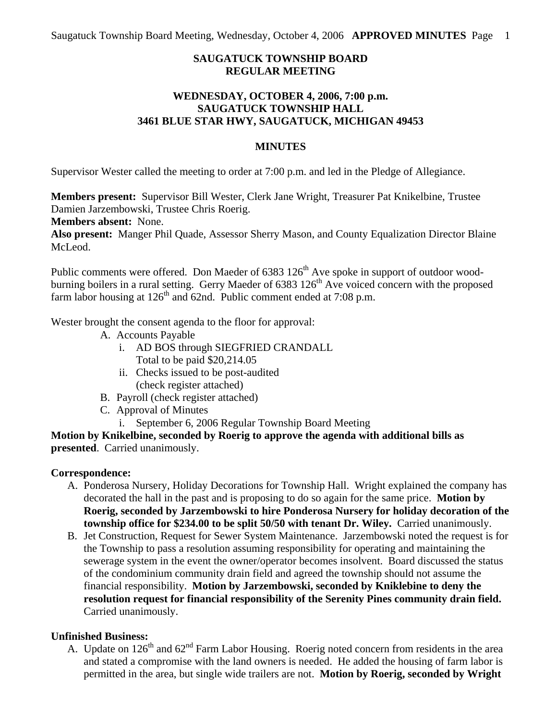# **SAUGATUCK TOWNSHIP BOARD REGULAR MEETING**

## **WEDNESDAY, OCTOBER 4, 2006, 7:00 p.m. SAUGATUCK TOWNSHIP HALL 3461 BLUE STAR HWY, SAUGATUCK, MICHIGAN 49453**

#### **MINUTES**

Supervisor Wester called the meeting to order at 7:00 p.m. and led in the Pledge of Allegiance.

**Members present:** Supervisor Bill Wester, Clerk Jane Wright, Treasurer Pat Knikelbine, Trustee Damien Jarzembowski, Trustee Chris Roerig.

**Members absent:** None.

**Also present:** Manger Phil Quade, Assessor Sherry Mason, and County Equalization Director Blaine McLeod.

Public comments were offered. Don Maeder of 6383 126<sup>th</sup> Ave spoke in support of outdoor woodburning boilers in a rural setting. Gerry Maeder of  $6383\,126^{th}$  Ave voiced concern with the proposed farm labor housing at  $126<sup>th</sup>$  and 62nd. Public comment ended at 7:08 p.m.

Wester brought the consent agenda to the floor for approval:

- A. Accounts Payable
	- i. AD BOS through SIEGFRIED CRANDALL Total to be paid \$20,214.05
	- ii. Checks issued to be post-audited (check register attached)
- B. Payroll (check register attached)
- C. Approval of Minutes
	- i. September 6, 2006 Regular Township Board Meeting

**Motion by Knikelbine, seconded by Roerig to approve the agenda with additional bills as presented**. Carried unanimously.

## **Correspondence:**

- A. Ponderosa Nursery, Holiday Decorations for Township Hall. Wright explained the company has decorated the hall in the past and is proposing to do so again for the same price. **Motion by Roerig, seconded by Jarzembowski to hire Ponderosa Nursery for holiday decoration of the township office for \$234.00 to be split 50/50 with tenant Dr. Wiley.** Carried unanimously.
- B. Jet Construction, Request for Sewer System Maintenance. Jarzembowski noted the request is for the Township to pass a resolution assuming responsibility for operating and maintaining the sewerage system in the event the owner/operator becomes insolvent. Board discussed the status of the condominium community drain field and agreed the township should not assume the financial responsibility. **Motion by Jarzembowski, seconded by Kniklebine to deny the resolution request for financial responsibility of the Serenity Pines community drain field.**  Carried unanimously.

## **Unfinished Business:**

A. Update on  $126<sup>th</sup>$  and  $62<sup>nd</sup>$  Farm Labor Housing. Roerig noted concern from residents in the area and stated a compromise with the land owners is needed. He added the housing of farm labor is permitted in the area, but single wide trailers are not. **Motion by Roerig, seconded by Wright**